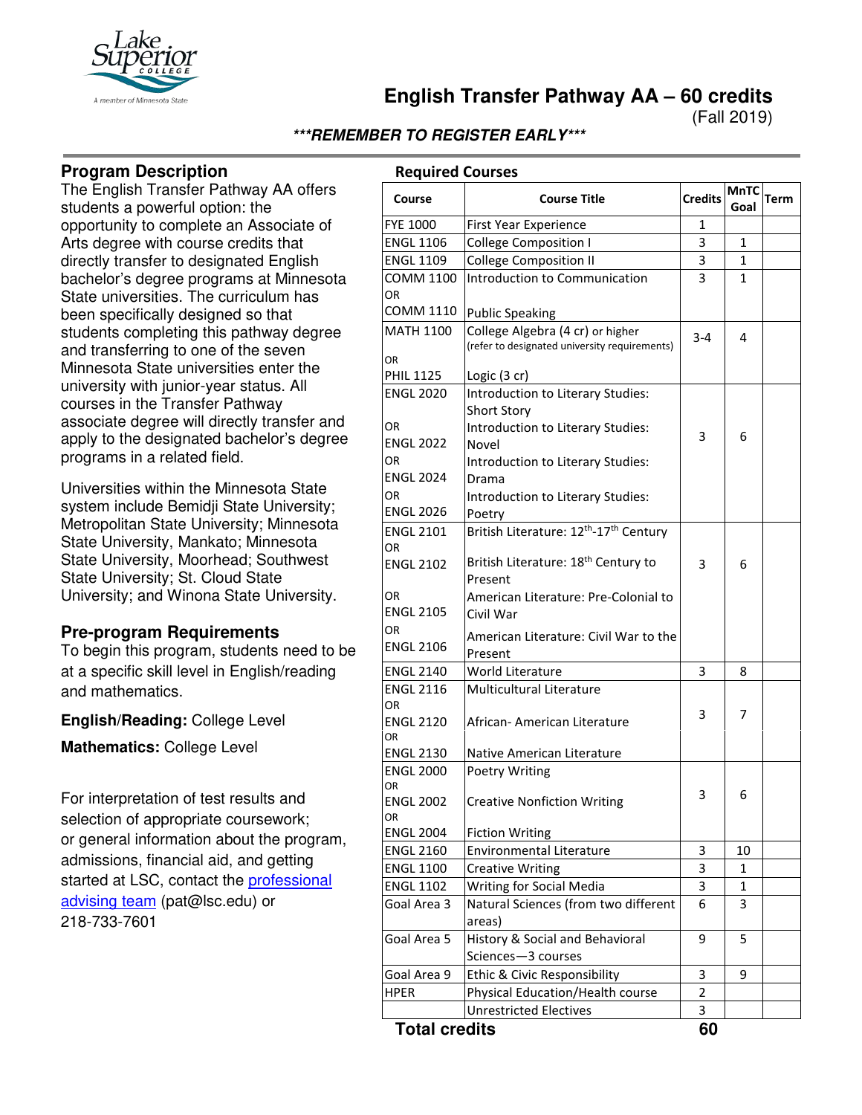

(Fall 2019)

## **\*\*\*REMEMBER TO REGISTER EARLY\*\*\***

## **Program Description**

The English Transfer Pathway AA offers students a powerful option: the opportunity to complete an Associate of Arts degree with course credits that directly transfer to designated English bachelor's degree programs at Minnesota State universities. The curriculum has been specifically designed so that students completing this pathway degree and transferring to one of the seven Minnesota State universities enter the university with junior-year status. All courses in the Transfer Pathway associate degree will directly transfer and apply to the designated bachelor's degree programs in a related field.

Universities within the Minnesota State system include Bemidji State University; Metropolitan State University; Minnesota State University, Mankato; Minnesota State University, Moorhead; Southwest State University; St. Cloud State University; and Winona State University.

## **Pre-program Requirements**

To begin this program, students need to be at a specific skill level in English/reading and mathematics.

**English/Reading:** College Level

**Mathematics:** College Level

For interpretation of test results and selection of appropriate coursework; or general information about the program, admissions, financial aid, and getting started at LSC, contact the **professional** [advising team](mailto:pat@lsc.edu) (pat@lsc.edu) or 218-733-7601

## **Required Courses**

| Course               | <b>Course Title</b>                                            | <b>Credits</b> | MnTC<br>Goal | Term |
|----------------------|----------------------------------------------------------------|----------------|--------------|------|
| <b>FYE 1000</b>      | First Year Experience                                          | 1              |              |      |
| <b>ENGL 1106</b>     | <b>College Composition I</b>                                   | 3              | 1            |      |
| <b>ENGL 1109</b>     | <b>College Composition II</b>                                  | 3              | 1            |      |
| COMM 1100            | Introduction to Communication                                  | 3              | 1            |      |
| OR                   |                                                                |                |              |      |
| COMM 1110            | <b>Public Speaking</b>                                         |                |              |      |
| <b>MATH 1100</b>     | College Algebra (4 cr) or higher                               | $3 - 4$        | 4            |      |
|                      | (refer to designated university requirements)                  |                |              |      |
| OR                   |                                                                |                |              |      |
| <b>PHIL 1125</b>     | Logic (3 cr)                                                   |                |              |      |
| <b>ENGL 2020</b>     | Introduction to Literary Studies:                              |                |              |      |
|                      | <b>Short Story</b>                                             |                |              |      |
| OR                   | Introduction to Literary Studies:                              | 3              | 6            |      |
| ENGL 2022            | Novel                                                          |                |              |      |
| OR                   | Introduction to Literary Studies:                              |                |              |      |
| <b>ENGL 2024</b>     | Drama                                                          |                |              |      |
| ΟR                   | Introduction to Literary Studies:                              |                |              |      |
| <b>ENGL 2026</b>     | Poetry                                                         |                |              |      |
| <b>ENGL 2101</b>     | British Literature: 12 <sup>th</sup> -17 <sup>th</sup> Century |                |              |      |
| OR                   |                                                                |                |              |      |
| <b>ENGL 2102</b>     | British Literature: 18 <sup>th</sup> Century to                | 3              | 6            |      |
|                      | Present                                                        |                |              |      |
| OR                   | American Literature: Pre-Colonial to                           |                |              |      |
| <b>ENGL 2105</b>     | Civil War                                                      |                |              |      |
| OR                   | American Literature: Civil War to the                          |                |              |      |
| <b>ENGL 2106</b>     | Present                                                        |                |              |      |
| <b>ENGL 2140</b>     | World Literature                                               | 3              | 8            |      |
| <b>ENGL 2116</b>     | <b>Multicultural Literature</b>                                |                |              |      |
| ΟR                   |                                                                | 3              | 7            |      |
| <b>ENGL 2120</b>     | African- American Literature                                   |                |              |      |
| OR                   |                                                                |                |              |      |
| <b>ENGL 2130</b>     | Native American Literature                                     |                |              |      |
| <b>ENGL 2000</b>     | Poetry Writing                                                 |                |              |      |
| OR<br>ENGL 2002      |                                                                | 3              | 6            |      |
| OR                   | <b>Creative Nonfiction Writing</b>                             |                |              |      |
| ENGL 2004            | <b>Fiction Writing</b>                                         |                |              |      |
| <b>ENGL 2160</b>     | Environmental Literature                                       | 3              | 10           |      |
| <b>ENGL 1100</b>     | <b>Creative Writing</b>                                        | 3              | 1            |      |
| <b>ENGL 1102</b>     | Writing for Social Media                                       | 3              | 1            |      |
| Goal Area 3          | Natural Sciences (from two different                           | 6              | 3            |      |
|                      | areas)                                                         |                |              |      |
| Goal Area 5          | History & Social and Behavioral                                | 9              | 5            |      |
|                      | Sciences-3 courses                                             |                |              |      |
| Goal Area 9          | Ethic & Civic Responsibility                                   | 3              | 9            |      |
| HPER                 | Physical Education/Health course                               | $\overline{2}$ |              |      |
|                      | <b>Unrestricted Electives</b>                                  | 3              |              |      |
| <b>Total credits</b> |                                                                | 60             |              |      |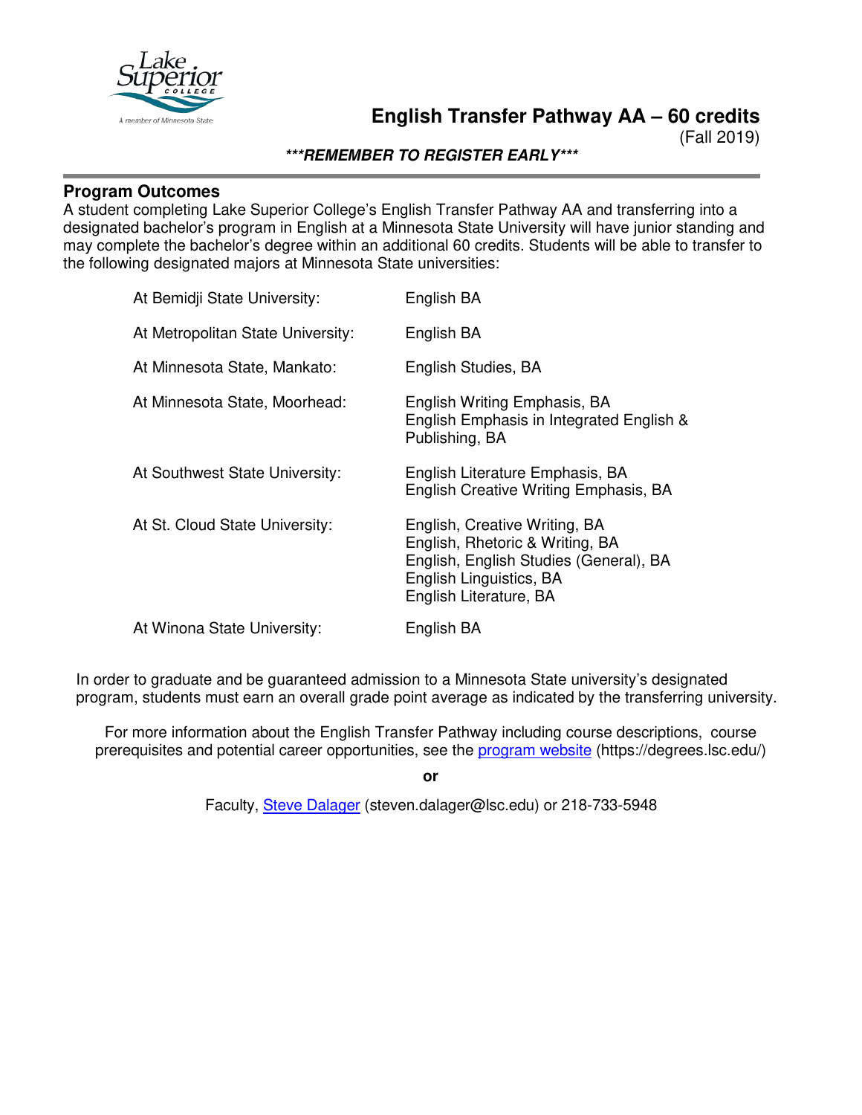

(Fall 2019)

**\*\*\*REMEMBER TO REGISTER EARLY\*\*\***

## **Program Outcomes**

A student completing Lake Superior College's English Transfer Pathway AA and transferring into a designated bachelor's program in English at a Minnesota State University will have junior standing and may complete the bachelor's degree within an additional 60 credits. Students will be able to transfer to the following designated majors at Minnesota State universities:

| At Bemidji State University:      | English BA                                                                                                                                                      |
|-----------------------------------|-----------------------------------------------------------------------------------------------------------------------------------------------------------------|
| At Metropolitan State University: | English BA                                                                                                                                                      |
| At Minnesota State, Mankato:      | English Studies, BA                                                                                                                                             |
| At Minnesota State, Moorhead:     | English Writing Emphasis, BA<br>English Emphasis in Integrated English &<br>Publishing, BA                                                                      |
| At Southwest State University:    | English Literature Emphasis, BA<br>English Creative Writing Emphasis, BA                                                                                        |
| At St. Cloud State University:    | English, Creative Writing, BA<br>English, Rhetoric & Writing, BA<br>English, English Studies (General), BA<br>English Linguistics, BA<br>English Literature, BA |
| At Winona State University:       | English BA                                                                                                                                                      |

In order to graduate and be guaranteed admission to a Minnesota State university's designated program, students must earn an overall grade point average as indicated by the transferring university.

For more information about the English Transfer Pathway including course descriptions, course prerequisites and potential career opportunities, see the [program website](https://degrees.lsc.edu/) (https://degrees.lsc.edu/)

**or**

Faculty, [Steve Dalager](mailto:steven.dalager@lsc.edu) (steven.dalager@lsc.edu) or 218-733-5948